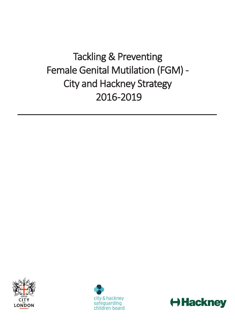# Tackling & Preventing Female Genital Mutilation (FGM) - City and Hackney Strategy 2016 -2019





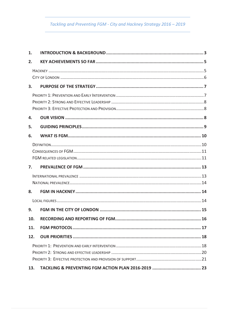# Tackling and Preventing FGM - City and Hackney Strategy 2016 - 2019

| 1.  |  |  |  |
|-----|--|--|--|
| 2.  |  |  |  |
|     |  |  |  |
|     |  |  |  |
| 3.  |  |  |  |
|     |  |  |  |
|     |  |  |  |
|     |  |  |  |
| 4.  |  |  |  |
| 5.  |  |  |  |
| 6.  |  |  |  |
|     |  |  |  |
|     |  |  |  |
|     |  |  |  |
| 7.  |  |  |  |
|     |  |  |  |
|     |  |  |  |
| 8.  |  |  |  |
|     |  |  |  |
| 9.  |  |  |  |
| 10. |  |  |  |
| 11. |  |  |  |
| 12. |  |  |  |
|     |  |  |  |
|     |  |  |  |
|     |  |  |  |
| 13. |  |  |  |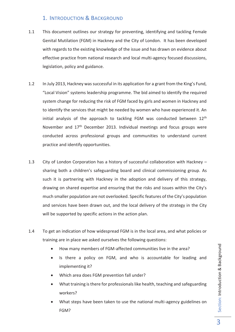# 1. INTRODUCTION & BACKGROUND

- 1.1 This document outlines our strategy for preventing, identifying and tackling Female Genital Mutilation (FGM) in Hackney and the City of London. It has been developed with regards to the existing knowledge of the issue and has drawn on evidence about effective practice from national research and local multi-agency focused discussions, legislation, policy and guidance.
- 1.2 In July 2013, Hackney was successful in its application for a grant from the King's Fund, "Local Vision" systems leadership programme. The bid aimed to identify the required system change for reducing the risk of FGM faced by girls and women in Hackney and to identify the services that might be needed by women who have experienced it. An initial analysis of the approach to tackling FGM was conducted between 12<sup>th</sup> November and 17<sup>th</sup> December 2013. Individual meetings and focus groups were conducted across professional groups and communities to understand current practice and identify opportunities.
- 1.3 City of London Corporation has a history of successful collaboration with Hackney sharing both a children's safeguarding board and clinical commissioning group. As such it is partnering with Hackney in the adoption and delivery of this strategy, drawing on shared expertise and ensuring that the risks and issues within the City's much smaller population are not overlooked. Specific features of the City's population and services have been drawn out, and the local delivery of the strategy in the City will be supported by specific actions in the action plan.
- 1.4 To get an indication of how widespread FGM is in the local area, and what policies or training are in place we asked ourselves the following questions:
	- · How many members of FGM-affected communities live in the area?
	- Is there a policy on FGM, and who is accountable for leading and implementing it?
	- · Which area does FGM prevention fall under?
	- · What training is there for professionals like health, teaching and safeguarding workers?
	- What steps have been taken to use the national multi-agency guidelines on FGM?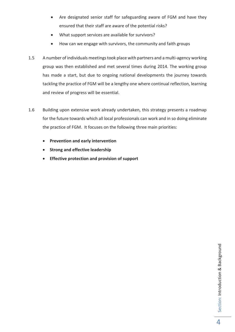- · Are designated senior staff for safeguarding aware of FGM and have they ensured that their staff are aware of the potential risks?
- · What support services are available for survivors?
- · How can we engage with survivors, the community and faith groups
- 1.5 A number of individuals meetings took place with partners and a multi-agency working group was then established and met several times during 2014. The working group has made a start, but due to ongoing national developments the journey towards tackling the practice of FGM will be a lengthy one where continual reflection, learning and review of progress will be essential.
- 1.6 Building upon extensive work already undertaken, this strategy presents a roadmap for the future towards which all local professionals can work and in so doing eliminate the practice of FGM. It focuses on the following three main priorities:
	- · **Prevention and early intervention**
	- · **Strong and effective leadership**
	- · **Effective protection and provision of support**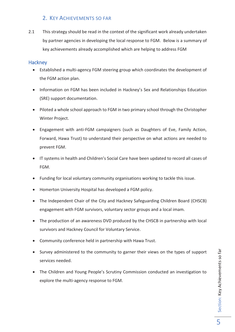# 2. KEY ACHIEVEMENTS SO FAR

2.1 This strategy should be read in the context of the significant work already undertaken by partner agencies in developing the local response to FGM. Below is a summary of key achievements already accomplished which are helping to address FGM

#### **Hackney**

- · Established a multi-agency FGM steering group which coordinates the development of the FGM action plan.
- · Information on FGM has been included in Hackney's Sex and Relationships Education (SRE) support documentation.
- · Piloted a whole school approach to FGM in two primary school through the Christopher Winter Project.
- · Engagement with anti-FGM campaigners (such as Daughters of Eve, Family Action, Forward, Hawa Trust) to understand their perspective on what actions are needed to prevent FGM.
- · IT systems in health and Children's Social Care have been updated to record all cases of FGM.
- · Funding for local voluntary community organisations working to tackle this issue.
- · Homerton University Hospital has developed a FGM policy.
- The Independent Chair of the City and Hackney Safeguarding Children Board (CHSCB) engagement with FGM survivors, voluntary sector groups and a local imam.
- · The production of an awareness DVD produced by the CHSCB in partnership with local survivors and Hackney Council for Voluntary Service.
- · Community conference held in partnership with Hawa Trust.
- · Survey administered to the community to garner their views on the types of support services needed.
- · The Children and Young People's Scrutiny Commission conducted an investigation to explore the multi-agency response to FGM.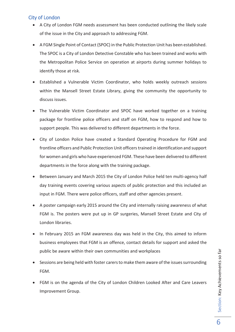# City of London

- · A City of London FGM needs assessment has been conducted outlining the likely scale of the issue in the City and approach to addressing FGM.
- · A FGM Single Point of Contact (SPOC) in the Public Protection Unit has been established. The SPOC is a City of London Detective Constable who has been trained and works with the Metropolitan Police Service on operation at airports during summer holidays to identify those at risk.
- · Established a Vulnerable Victim Coordinator, who holds weekly outreach sessions within the Mansell Street Estate Library, giving the community the opportunity to discuss issues.
- · The Vulnerable Victim Coordinator and SPOC have worked together on a training package for frontline police officers and staff on FGM, how to respond and how to support people. This was delivered to different departments in the force.
- · City of London Police have created a Standard Operating Procedure for FGM and frontline officers and Public Protection Unit officers trained in identification and support for women and girls who have experienced FGM. These have been delivered to different departments in the force along with the training package.
- · Between January and March 2015 the City of London Police held ten multi-agency half day training events covering various aspects of public protection and this included an input in FGM. There were police officers, staff and other agencies present.
- · A poster campaign early 2015 around the City and internally raising awareness of what FGM is. The posters were put up in GP surgeries, Mansell Street Estate and City of London libraries.
- · In February 2015 an FGM awareness day was held in the City, this aimed to inform business employees that FGM is an offence, contact details for support and asked the public be aware within their own communities and workplaces
- · Sessions are being held with foster carers to make them aware of the issues surrounding FGM.
- FGM is on the agenda of the City of London Children Looked After and Care Leavers Improvement Group.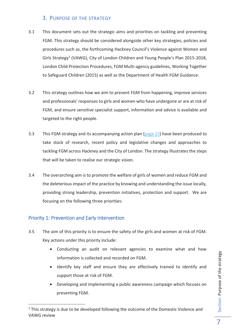# 3. PURPOSE OF THE STRATEGY

- 3.1 This document sets out the strategic aims and priorities on tackling and preventing FGM. This strategy should be considered alongside other key strategies, policies and procedures such as, the forthcoming Hackney Council's Violence against Women and Girls Strategy<sup>1</sup> (VAWG), City of London Children and Young People's Plan 2015-2018, London Child Protection Procedures, FGM Multi-agency guidelines, Working Together to Safeguard Children (2015) as well as the Department of Health FGM Guidance.
- 3.2 This strategy outlines how we aim to prevent FGM from happening, improve services and professionals' responses to girls and women who have undergone or are at risk of FGM, and ensure sensitive specialist support, information and advice is available and targeted to the right people.
- 3.3 This FGM strategy and its accompanying action plan (page 23) have been produced to take stock of research, recent policy and legislative changes and approaches to tackling FGM across Hackney and the City of London. The strategy illustrates the steps that will be taken to realise our strategic vision.
- 3.4 The overarching aim is to promote the welfare of girls of women and reduce FGM and the deleterious impact of the practice by knowing and understanding the issue locally, providing strong leadership, prevention initiatives, protection and support. We are focusing on the following three priorities:

# Priority 1: Prevention and Early Intervention

- 3.5 The aim of this priority is to ensure the safety of the girls and women at risk of FGM. Key actions under this priority include:
	- · Conducting an audit on relevant agencies to examine what and how information is collected and recorded on FGM.
	- · Identify key staff and ensure they are effectively trained to identify and support those at risk of FGM.
	- · Developing and implementing a public awareness campaign which focuses on preventing FGM.

 $1$  This strategy is due to be developed following the outcome of the Domestic Violence and VAWG review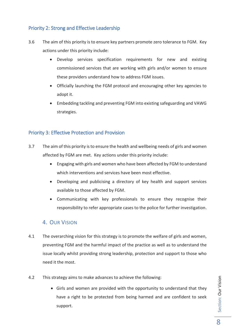## Priority 2: Strong and Effective Leadership

- 3.6 The aim of this priority is to ensure key partners promote zero tolerance to FGM. Key actions under this priority include:
	- · Develop services specification requirements for new and existing commissioned services that are working with girls and/or women to ensure these providers understand how to address FGM issues.
	- · Officially launching the FGM protocol and encouraging other key agencies to adopt it.
	- · Embedding tackling and preventing FGM into existing safeguarding and VAWG strategies.

# Priority 3: Effective Protection and Provision

- 3.7 The aim of this priority is to ensure the health and wellbeing needs of girls and women affected by FGM are met. Key actions under this priority include:
	- · Engaging with girls and women who have been affected by FGM to understand which interventions and services have been most effective.
	- · Developing and publicising a directory of key health and support services available to those affected by FGM.
	- · Communicating with key professionals to ensure they recognise their responsibility to refer appropriate cases to the police for further investigation.

#### 4. OUR VISION

- 4.1 The overarching vision for this strategy is to promote the welfare of girls and women, preventing FGM and the harmful impact of the practice as well as to understand the issue locally whilst providing strong leadership, protection and support to those who need it the most.
- 4.2 This strategy aims to make advances to achieve the following:
	- Girls and women are provided with the opportunity to understand that they have a right to be protected from being harmed and are confident to seek support.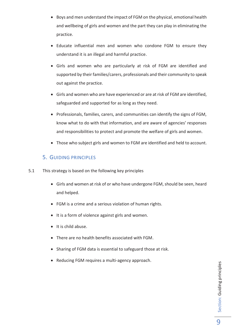- · Boys and men understand the impact of FGM on the physical, emotional health and wellbeing of girls and women and the part they can play in eliminating the practice.
- · Educate influential men and women who condone FGM to ensure they understand it is an illegal and harmful practice.
- · Girls and women who are particularly at risk of FGM are identified and supported by their families/carers, professionals and their community to speak out against the practice.
- · Girls and women who are have experienced or are at risk of FGM are identified, safeguarded and supported for as long as they need.
- · Professionals, families, carers, and communities can identify the signs of FGM, know what to do with that information, and are aware of agencies' responses and responsibilities to protect and promote the welfare of girls and women.
- · Those who subject girls and women to FGM are identified and held to account.

# 5. GUIDING PRINCIPLES

- 5.1 This strategy is based on the following key principles
	- · Girls and women at risk of or who have undergone FGM, should be seen, heard and helped.
	- · FGM is a crime and a serious violation of human rights.
	- · It is a form of violence against girls and women.
	- · It is child abuse.
	- · There are no health benefits associated with FGM.
	- · Sharing of FGM data is essential to safeguard those at risk.
	- · Reducing FGM requires a multi-agency approach.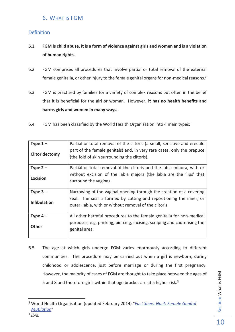# 6. WHAT IS FGM

## **Definition**

- 6.1 **FGM is child abuse, it is a form of violence against girls and women and is a violation of human rights.**
- 6.2 FGM comprises all procedures that involve partial or total removal of the external female genitalia, or other injury to the female genital organs for non-medical reasons.<sup>2</sup>
- 6.3 FGM is practised by families for a variety of complex reasons but often in the belief that it is beneficial for the girl or woman. However, **it has no health benefits and harms girls and women in many ways.**
- 6.4 FGM has been classified by the World Health Organisation into 4 main types:

| Type $1-$           | Partial or total removal of the clitoris (a small, sensitive and erectile |
|---------------------|---------------------------------------------------------------------------|
|                     |                                                                           |
|                     | part of the female genitals) and, in very rare cases, only the prepuce    |
| Clitoridectomy      | (the fold of skin surrounding the clitoris).                              |
|                     |                                                                           |
| Type $2 -$          | Partial or total removal of the clitoris and the labia minora, with or    |
|                     | without excision of the labia majora (the labia are the 'lips' that       |
| <b>Excision</b>     | surround the vagina).                                                     |
|                     |                                                                           |
| Type $3-$           | Narrowing of the vaginal opening through the creation of a covering       |
|                     | seal. The seal is formed by cutting and repositioning the inner, or       |
| <b>Infibulation</b> | outer, labia, with or without removal of the clitoris.                    |
|                     |                                                                           |
| Type $4-$           | All other harmful procedures to the female genitalia for non-medical      |
|                     | purposes, e.g. pricking, piercing, incising, scraping and cauterising the |
| <b>Other</b>        | genital area.                                                             |
|                     |                                                                           |
|                     |                                                                           |

6.5 The age at which girls undergo FGM varies enormously according to different communities. The procedure may be carried out when a girl is newborn, during childhood or adolescence, just before marriage or during the first pregnancy. However, the majority of cases of FGM are thought to take place between the ages of 5 and 8 and therefore girls within that age bracket are at a higher risk.<sup>3</sup>

 $\overline{a}$ 

Section: What is FGM

Section: What is FGM

<sup>2</sup> World Health Organisation (updated February 2014) "*Fact Sheet No.4: Female Genital Mutilation*"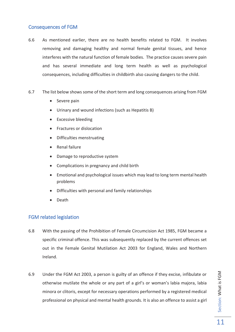#### Consequences of FGM

- 6.6 As mentioned earlier, there are no health benefits related to FGM. It involves removing and damaging healthy and normal female genital tissues, and hence interferes with the natural function of female bodies. The practice causes severe pain and has several immediate and long term health as well as psychological consequences, including difficulties in childbirth also causing dangers to the child.
- 6.7 The list below shows some of the short term and long consequences arising from FGM
	- Severe pain
	- Urinary and wound infections (such as Hepatitis B)
	- · Excessive bleeding
	- · Fractures or dislocation
	- · Difficulties menstruating
	- · Renal failure
	- · Damage to reproductive system
	- · Complications in pregnancy and child birth
	- · Emotional and psychological issues which may lead to long term mental health problems
	- Difficulties with personal and family relationships
	- · Death

#### FGM related legislation

- 6.8 With the passing of the Prohibition of Female Circumcision Act 1985, FGM became a specific criminal offence. This was subsequently replaced by the current offences set out in the Female Genital Mutilation Act 2003 for England, Wales and Northern Ireland.
- 6.9 Under the FGM Act 2003, a person is guilty of an offence if they excise, infibulate or otherwise mutilate the whole or any part of a girl's or woman's labia majora, labia minora or clitoris, except for necessary operations performed by a registered medical professional on physical and mental health grounds. It is also an offence to assist a girl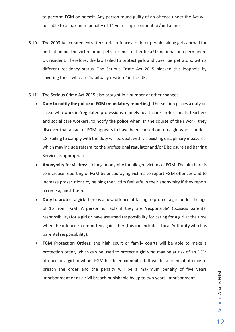to perform FGM on herself. Any person found guilty of an offence under the Act will be liable to a maximum penalty of 14 years imprisonment or/and a fine.

- 6.10 The 2003 Act created extra-territorial offences to deter people taking girls abroad for mutilation but the victim or perpetrator must either be a UK national or a permanent UK resident. Therefore, the law failed to protect girls and cover perpetrators, with a different residency status. The Serious Crime Act 2015 blocked this loophole by covering those who are 'habitually resident' in the UK.
- 6.11 The Serious Crime Act 2015 also brought in a number of other changes:
	- · **Duty to notify the police of FGM (mandatory reporting):** This section places a duty on those who work in 'regulated professions' namely healthcare professionals, teachers and social care workers, to notify the police when, in the course of their work, they discover that an act of FGM appears to have been carried out on a girl who is under-18. Failing to comply with the duty will be dealt with via existing disciplinary measures, which may include referral to the professional regulator and/or Disclosure and Barring Service as appropriate.
	- · **Anonymity for victims:** lifelong anonymity for alleged victims of FGM. The aim here is to increase reporting of FGM by encouraging victims to report FGM offences and to increase prosecutions by helping the victim feel safe in their anonymity if they report a crime against them.
	- · **Duty to protect a girl:** there is a new offence of failing to protect a girl under the age of 16 from FGM. A person is liable if they are 'responsible' (possess parental responsibility) for a girl or have assumed responsibility for caring for a girl at the time when the offence is committed against her (this can include a Local Authority who has parental responsibility).
	- FGM Protection Orders: the high court or family courts will be able to make a protection order, which can be used to protect a girl who may be at risk of an FGM offence or a girl to whom FGM has been committed. It will be a criminal offence to breach the order and the penalty will be a maximum penalty of five years imprisonment or as a civil breach punishable by up to two years' imprisonment.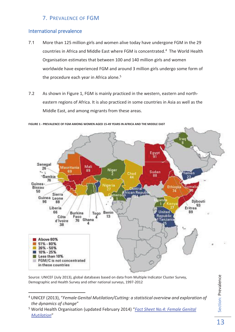# 7. PREVALENCE OF FGM

### International prevalence

 $\overline{a}$ 

- 7.1 More than 125 million girls and women alive today have undergone FGM in the 29 countries in Africa and Middle East where FGM is concentrated.<sup>4</sup> The World Health Organisation estimates that between 100 and 140 million girls and women worldwide have experienced FGM and around 3 million girls undergo some form of the procedure each year in Africa alone.<sup>5</sup>
- 7.2 As shown in Figure 1, FGM is mainly practiced in the western, eastern and northeastern regions of Africa. It is also practiced in some countries in Asia as well as the Middle East, and among migrants from these areas.



**FIGURE 1 - PREVALENCE OF FGM AMONG WOMEN AGED 15-49 YEARS IN AFRICA AND THE MIDDLE EAST**

Source: UNICEF (July 2013), global databases based on data from Multiple Indicator Cluster Survey, Demographic and Health Survey and other national surveys, 1997-2012

Section: Prevalence Section: Prevalence

<sup>4</sup> UNICEF (2013), "*Female Genital Mutilation/Cutting: a statistical overview and exploration of the dynamics of change*"

<sup>5</sup> World Health Organisation (updated February 2014) "*Fact Sheet No.4: Female Genital Mutilation*"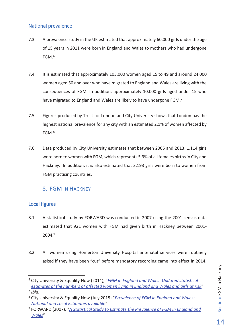## National prevalence

- 7.3 A prevalence study in the UK estimated that approximately 60,000 girls under the age of 15 years in 2011 were born in England and Wales to mothers who had undergone  $FGM.<sup>6</sup>$
- 7.4 It is estimated that approximately 103,000 women aged 15 to 49 and around 24,000 women aged 50 and over who have migrated to England and Wales are living with the consequences of FGM. In addition, approximately 10,000 girls aged under 15 who have migrated to England and Wales are likely to have undergone FGM.<sup>7</sup>
- 7.5 Figures produced by Trust for London and City University shows that London has the highest national prevalence for any city with an estimated 2.1% of women affected by FGM.<sup>8</sup>
- 7.6 Data produced by City University estimates that between 2005 and 2013, 1,114 girls were born to women with FGM, which represents 5.3% of all females births in City and Hackney. In addition, it is also estimated that 3,193 girls were born to women from FGM practising countries.

# 8. FGM IN HACKNEY

# Local figures

- 8.1 A statistical study by FORWARD was conducted in 2007 using the 2001 census data estimated that 921 women with FGM had given birth in Hackney between 2001- 2004.<sup>9</sup>
- 8.2 All women using Homerton University Hospital antenatal services were routinely asked if they have been "cut" before mandatory recording came into effect in 2014.

<sup>6</sup> City University & Equality Now (2014), "*FGM in England and Wales: Updated statistical estimates of the numbers of affected women living in England and Wales and girls at risk*" 7 *Ibid.*

<sup>8</sup> City University & Equality Now (July 2015) "*Prevalence of FGM in England and Wales: National and Local Estimates available*"

<sup>9</sup> FORWARD (2007), "*A Statistical Study to Estimate the Prevalence of FGM in England and Wales*"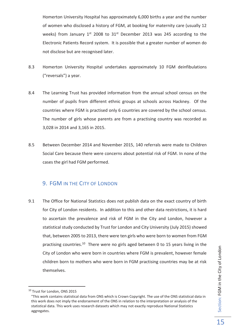Homerton University Hospital has approximately 6,000 births a year and the number of women who disclosed a history of FGM, at booking for maternity care (usually 12 weeks) from January  $1^{st}$  2008 to  $31^{st}$  December 2013 was 245 according to the Electronic Patients Record system. It is possible that a greater number of women do not disclose but are recognised later.

- 8.3 Homerton University Hospital undertakes approximately 10 FGM deinfibulations ("reversals") a year.
- 8.4 The Learning Trust has provided information from the annual school census on the number of pupils from different ethnic groups at schools across Hackney. Of the countries where FGM is practised only 6 countries are covered by the school census. The number of girls whose parents are from a practising country was recorded as 3,028 in 2014 and 3,165 in 2015.
- 8.5 Between December 2014 and November 2015, 140 referrals were made to Children Social Care because there were concerns about potential risk of FGM. In none of the cases the girl had FGM performed.

# 9. FGM IN THE CITY OF LONDON

9.1 The Office for National Statistics does not publish data on the exact country of birth for City of London residents. In addition to this and other data restrictions, it is hard to ascertain the prevalence and risk of FGM in the City and London, however a statistical study conducted by Trust for London and City University (July 2015) showed that, between 2005 to 2013, there were ten girls who were born to women from FGM practising countries.<sup>10</sup> There were no girls aged between 0 to 15 years living in the City of London who were born in countries where FGM is prevalent, however female children born to mothers who were born in FGM practising countries may be at risk themselves.

<sup>&</sup>lt;sup>10</sup> Trust for London, ONS 2015

<sup>&</sup>quot;This work contains statistical data from ONS which is Crown Copyright. The use of the ONS statistical data in this work does not imply the endorsement of the ONS in relation to the interpretation or analysis of the statistical data. This work uses research datasets which may not exactly reproduce National Statistics aggregates.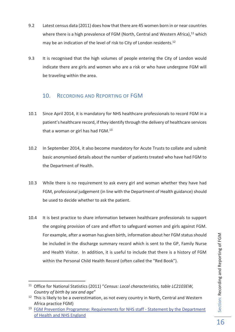- 9.2 Latest census data (2011) does how that there are 45 women born in or near countries where there is a high prevalence of FGM (North, Central and Western Africa),  $11$  which may be an indication of the level of risk to City of London residents.<sup>12</sup>
- 9.3 It is recognised that the high volumes of people entering the City of London would indicate there are girls and women who are a risk or who have undergone FGM will be traveling within the area.

# 10. RECORDING AND REPORTING OF FGM

- 10.1 Since April 2014, it is mandatory for NHS healthcare professionals to record FGM in a patient's healthcare record, if they identify through the delivery of healthcare services that a woman or girl has had FGM.<sup>13</sup>
- 10.2 In September 2014, it also become mandatory for Acute Trusts to collate and submit basic anonymised details about the number of patients treated who have had FGM to the Department of Health.
- 10.3 While there is no requirement to ask every girl and woman whether they have had FGM, professional judgement (in line with the Department of Health guidance) should be used to decide whether to ask the patient.
- 10.4 It is best practice to share information between healthcare professionals to support the ongoing provision of care and effort to safeguard women and girls against FGM. For example, after a woman has given birth, information about her FGM status should be included in the discharge summary record which is sent to the GP, Family Nurse and Health Visitor. In addition, it is useful to include that there is a history of FGM within the Personal Child Health Record (often called the "Red Book").

<sup>11</sup> Office for National Statistics (2011) "*Census: Local characteristics, table LC2103EW, Country of birth by sex and age*"

<sup>&</sup>lt;sup>12</sup> This is likely to be a overestimation, as not every country in North, Central and Western Africa practice FGM)

<sup>&</sup>lt;sup>13</sup> FGM Prevention Programme: Requirements for NHS staff - Statement by the Department of Health and NHS England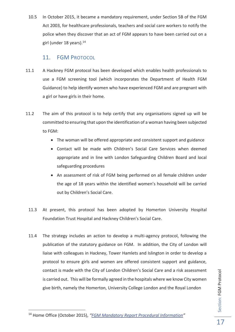10.5 In October 2015, it became a mandatory requirement, under Section 5B of the FGM Act 2003, for healthcare professionals, teachers and social care workers to notify the police when they discover that an act of FGM appears to have been carried out on a girl (under 18 years).<sup>14</sup>

# 11. FGM PROTOCOL

- 11.1 A Hackney FGM protocol has been developed which enables health professionals to use a FGM screening tool (which incorporates the Department of Health FGM Guidance) to help identify women who have experienced FGM and are pregnant with a girl or have girls in their home.
- 11.2 The aim of this protocol is to help certify that any organisations signed up will be committed to ensuring that upon the identification of a woman having been subjected to FGM:
	- The woman will be offered appropriate and consistent support and guidance
	- · Contact will be made with Children's Social Care Services when deemed appropriate and in line with London Safeguarding Children Board and local safeguarding procedures
	- · An assessment of risk of FGM being performed on all female children under the age of 18 years within the identified women's household will be carried out by Children's Social Care.
	- 11.3 At present, this protocol has been adopted by Homerton University Hospital Foundation Trust Hospital and Hackney Children's Social Care.
	- 11.4 The strategy includes an action to develop a multi-agency protocol, following the publication of the statutory guidance on FGM. In addition, the City of London will liaise with colleagues in Hackney, Tower Hamlets and Islington in order to develop a protocol to ensure girls and women are offered consistent support and guidance, contact is made with the City of London Children's Social Care and a risk assessment is carried out. This will be formally agreed in the hospitals where we know City women give birth, namely the Homerton, University College London and the Royal London

<sup>14</sup> Home Office (October 2015), *"FGM Mandatory Report Procedural Information"*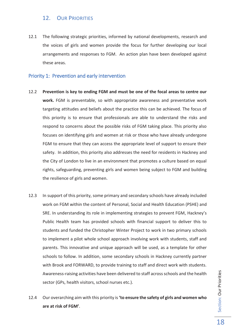# 12. OUR PRIORITIES

12.1 The following strategic priorities, informed by national developments, research and the voices of girls and women provide the focus for further developing our local arrangements and responses to FGM. An action plan have been developed against these areas.

## Priority 1: Prevention and early intervention

- 12.2 **Prevention is key to ending FGM and must be one of the focal areas to centre our work.** FGM is preventable, so with appropriate awareness and preventative work targeting attitudes and beliefs about the practice this can be achieved. The focus of this priority is to ensure that professionals are able to understand the risks and respond to concerns about the possible risks of FGM taking place. This priority also focuses on identifying girls and women at risk or those who have already undergone FGM to ensure that they can access the appropriate level of support to ensure their safety. In addition, this priority also addresses the need for residents in Hackney and the City of London to live in an environment that promotes a culture based on equal rights, safeguarding, preventing girls and women being subject to FGM and building the resilience of girls and women.
- 12.3 In support of this priority, some primary and secondary schools have already included work on FGM within the content of Personal, Social and Health Education (PSHE) and SRE. In understanding its role in implementing strategies to prevent FGM, Hackney's Public Health team has provided schools with financial support to deliver this to students and funded the Christopher Winter Project to work in two primary schools to implement a pilot whole school approach involving work with students, staff and parents. This innovative and unique approach will be used, as a template for other schools to follow. In addition, some secondary schools in Hackney currently partner with Brook and FORWARD, to provide training to staff and direct work with students. Awareness-raising activities have been delivered to staff across schools and the health sector (GPs, health visitors, school nurses etc.).
- 12.4 Our overarching aim with this priority is **'to ensure the safety of girls and women who are at risk of FGM'**.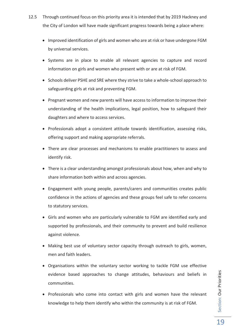- 12.5 Through continued focus on this priority area it is intended that by 2019 Hackney and the City of London will have made significant progress towards being a place where:
	- · Improved identification of girls and women who are at risk or have undergone FGM by universal services.
	- · Systems are in place to enable all relevant agencies to capture and record information on girls and women who present with or are at risk of FGM.
	- · Schools deliver PSHE and SRE where they strive to take a whole-school approach to safeguarding girls at risk and preventing FGM.
	- · Pregnant women and new parents will have access to information to improve their understanding of the health implications, legal position, how to safeguard their daughters and where to access services.
	- · Professionals adopt a consistent attitude towards identification, assessing risks, offering support and making appropriate referrals.
	- · There are clear processes and mechanisms to enable practitioners to assess and identify risk.
	- · There is a clear understanding amongst professionals about how, when and why to share information both within and across agencies.
	- · Engagement with young people, parents/carers and communities creates public confidence in the actions of agencies and these groups feel safe to refer concerns to statutory services.
	- · Girls and women who are particularly vulnerable to FGM are identified early and supported by professionals, and their community to prevent and build resilience against violence.
	- · Making best use of voluntary sector capacity through outreach to girls, women, men and faith leaders.
	- · Organisations within the voluntary sector working to tackle FGM use effective evidence based approaches to change attitudes, behaviours and beliefs in communities.
	- · Professionals who come into contact with girls and women have the relevant knowledge to help them identify who within the community is at risk of FGM.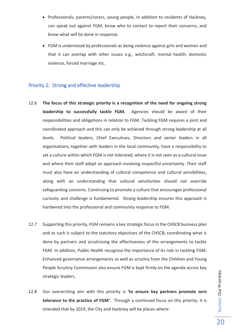- · Professionals, parents/carers, young people, in addition to residents of Hackney, can speak out against FGM, know who to contact to report their concerns, and know what will be done in response.
- · FGM is understood by professionals as being violence against girls and women and that it can overlap with other issues e.g., witchcraft, mental health, domestic violence, forced marriage etc.

#### Priority 2: Strong and effective leadership

- 12.6 **The focus of this strategic priority is a recognition of the need for ongoing strong leadership to successfully tackle FGM.** Agencies should be aware of their responsibilities and obligations in relation to FGM. Tackling FGM requires a joint and coordinated approach and this can only be achieved through strong leadership at all levels. Political leaders, Chief Executives, Directors and senior leaders in all organisations, together with leaders in the local community, have a responsibility to set a culture within which FGM is not tolerated, where it is not seen as a cultural issue and where their staff adopt an approach involving respectful uncertainty. Their staff must also have an understanding of cultural competence and cultural sensibilities, along with an understanding that cultural sensitivities should not override safeguarding concerns. Continuing to promote a culture that encourages professional curiosity and challenge is fundamental. Strong leadership ensures this approach is hardwired into the professional and community response to FGM.
- 12.7 Supporting this priority, FGM remains a key strategic focus in the CHSCB business plan and as such is subject to the statutory objectives of the CHSCB; coordinating what is done by partners and scrutinising the effectiveness of the arrangements to tackle FGM. In addition, Public Health recognise the importance of its role in tackling FGM. Enhanced governance arrangements as well as scrutiny from the Children and Young People Scrutiny Commission also ensure FGM is kept firmly on the agenda across key strategic leaders.
- 12.8 Our overarching aim with this priority is **'to ensure key partners promote zero tolerance to the practice of FGM'.** Through a continued focus on this priority, it is intended that by 2019, the City and Hackney will be places where: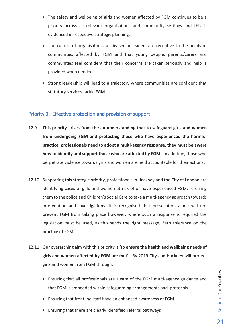- · The safety and wellbeing of girls and women affected by FGM continues to be a priority across all relevant organisations and community settings and this is evidenced in respective strategic planning.
- · The culture of organisations set by senior leaders are receptive to the needs of communities affected by FGM and that young people, parents/carers and communities feel confident that their concerns are taken seriously and help is provided when needed.
- · Strong leadership will lead to a trajectory where communities are confident that statutory services tackle FGM.

#### Priority 3: Effective protection and provision of support

- 12.9 **This priority arises from the an understanding that to safeguard girls and women from undergoing FGM and protecting those who have experienced the harmful practice, professionals need to adopt a multi-agency response, they must be aware how to identify and support those who are affected by FGM.** In addition, those who perpetrate violence towards girls and women are held accountable for their actions**.**
- 12.10 Supporting this strategic priority, professionals in Hackney and the City of London are identifying cases of girls and women at risk of or have experienced FGM, referring them to the police and Children's Social Care to take a multi-agency approach towards intervention and investigations. It is recognised that prosecution alone will not prevent FGM from taking place however, where such a response is required the legislation must be used, as this sends the right message; Zero tolerance on the practice of FGM.
- 12.11 Our overarching aim with this priority is **'to ensure the health and wellbeing needs of girls and women affected by FGM are met'**. By 2019 City and Hackney will protect girls and women from FGM through:
	- · Ensuring that all professionals are aware of the FGM multi-agency guidance and that FGM is embedded within safeguarding arrangements and protocols
	- · Ensuring that frontline staff have an enhanced awareness of FGM
	- · Ensuring that there are clearly identified referral pathways